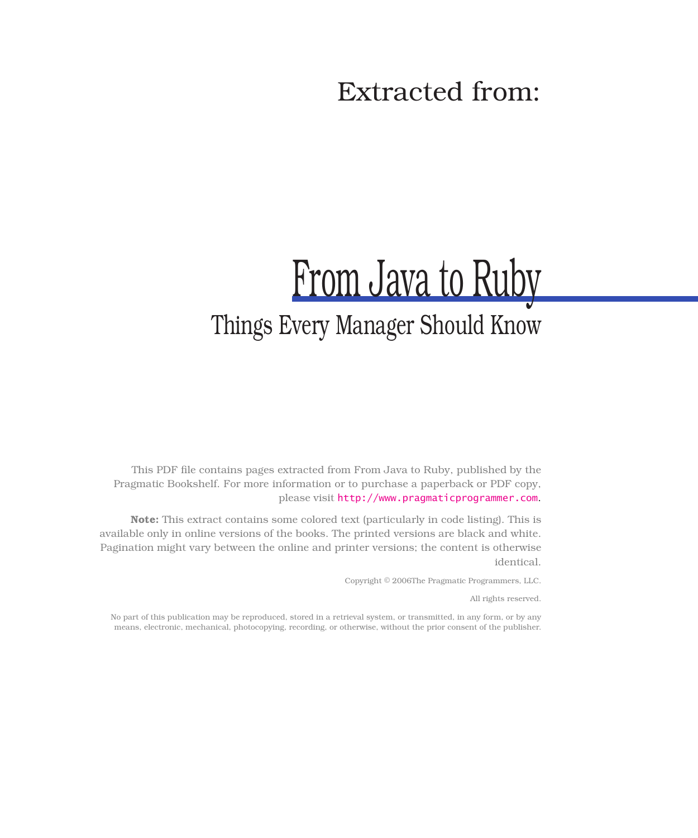### Extracted from:

## From Java to Ruby Things Every Manager Should Know

This PDF file contains pages extracted from From Java to Ruby, published by the Pragmatic Bookshelf. For more information or to purchase a paperback or PDF copy, please visit <http://www.pragmaticprogrammer.com>.

**Note:** This extract contains some colored text (particularly in code listing). This is available only in online versions of the books. The printed versions are black and white. Pagination might vary between the online and printer versions; the content is otherwise identical.

Copyright © 2006The Pragmatic Programmers, LLC.

All rights reserved.

No part of this publication may be reproduced, stored in a retrieval system, or transmitted, in any form, or by any means, electronic, mechanical, photocopying, recording, or otherwise, without the prior consent of the publisher.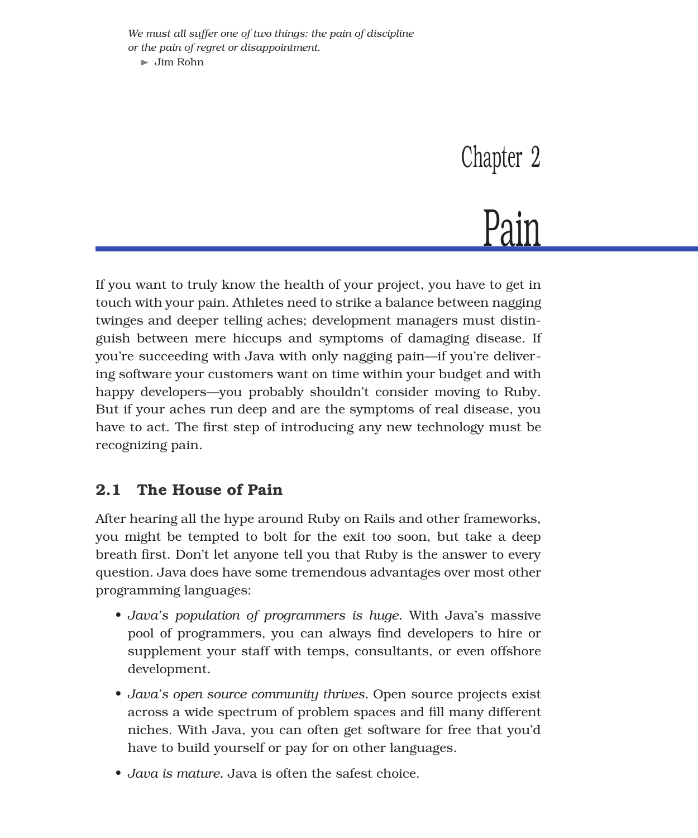### Chapter 2

# <u>ralli</u>

If you want to truly know the health of your project, you have to get in touch with your pain. Athletes need to strike a balance between nagging twinges and deeper telling aches; development managers must distinguish between mere hiccups and symptoms of damaging disease. If you're succeeding with Java with only nagging pain—if you're delivering software your customers want on time within your budget and with happy developers—you probably shouldn't consider moving to Ruby. But if your aches run deep and are the symptoms of real disease, you have to act. The first step of introducing any new technology must be recognizing pain.

### **2.1 The House of Pain**

After hearing all the hype around Ruby on Rails and other frameworks, you might be tempted to bolt for the exit too soon, but take a deep breath first. Don't let anyone tell you that Ruby is the answer to every question. Java does have some tremendous advantages over most other programming languages:

- *Java's population of programmers is huge.* With Java's massive pool of programmers, you can always find developers to hire or supplement your staff with temps, consultants, or even offshore development.
- *Java's open source community thrives.* Open source projects exist across a wide spectrum of problem spaces and fill many different niches. With Java, you can often get software for free that you'd have to build yourself or pay for on other languages.
- *Java is mature.* Java is often the safest choice.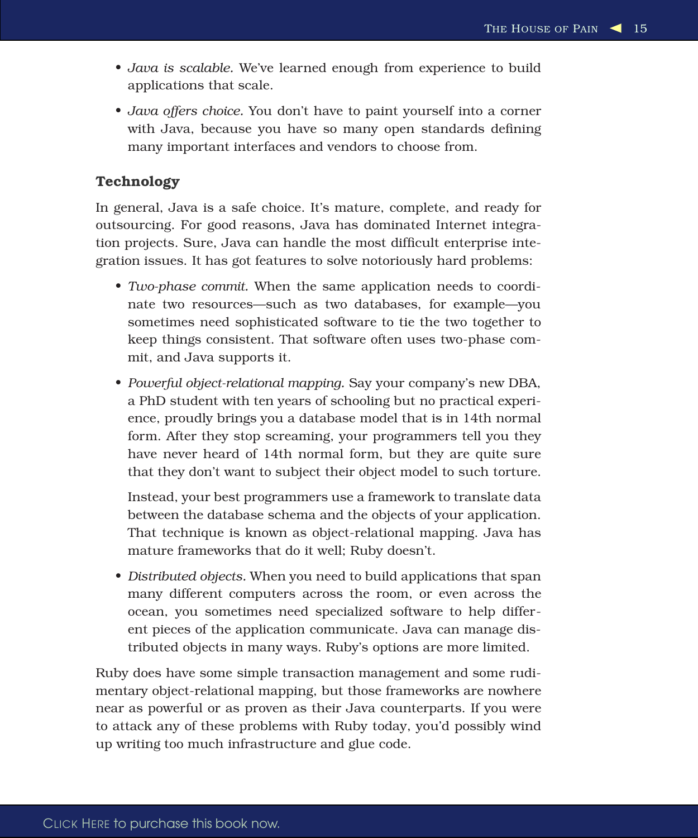- *Java is scalable.* We've learned enough from experience to build applications that scale.
- *Java offers choice.* You don't have to paint yourself into a corner with Java, because you have so many open standards defining many important interfaces and vendors to choose from.

### **Technology**

In general, Java is a safe choice. It's mature, complete, and ready for outsourcing. For good reasons, Java has dominated Internet integration projects. Sure, Java can handle the most difficult enterprise integration issues. It has got features to solve notoriously hard problems:

- *Two-phase commit.* When the same application needs to coordinate two resources—such as two databases, for example—you sometimes need sophisticated software to tie the two together to keep things consistent. That software often uses two-phase commit, and Java supports it.
- *Powerful object-relational mapping.* Say your company's new DBA, a PhD student with ten years of schooling but no practical experience, proudly brings you a database model that is in 14th normal form. After they stop screaming, your programmers tell you they have never heard of 14th normal form, but they are quite sure that they don't want to subject their object model to such torture.

Instead, your best programmers use a framework to translate data between the database schema and the objects of your application. That technique is known as object-relational mapping. Java has mature frameworks that do it well; Ruby doesn't.

• *Distributed objects.* When you need to build applications that span many different computers across the room, or even across the ocean, you sometimes need specialized software to help different pieces of the application communicate. Java can manage distributed objects in many ways. Ruby's options are more limited.

Ruby does have some simple transaction management and some rudimentary object-relational mapping, but those frameworks are nowhere near as powerful or as proven as their Java counterparts. If you were to attack any of these problems with Ruby today, you'd possibly wind up writing too much infrastructure and glue code.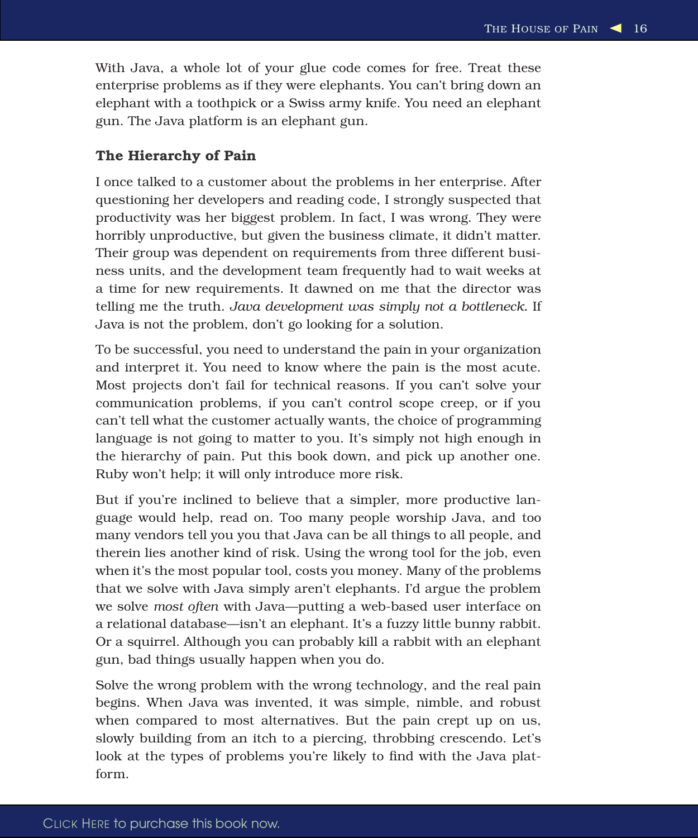With Java, a whole lot of your glue code comes for free. Treat these enterprise problems as if they were elephants. You can't bring down an elephant with a toothpick or a Swiss army knife. You need an elephant gun. The Java platform is an elephant gun.

### **The Hierarchy of Pain**

I once talked to a customer about the problems in her enterprise. After questioning her developers and reading code, I strongly suspected that productivity was her biggest problem. In fact, I was wrong. They were horribly unproductive, but given the business climate, it didn't matter. Their group was dependent on requirements from three different business units, and the development team frequently had to wait weeks at a time for new requirements. It dawned on me that the director was telling me the truth. *Java development was simply not a bottleneck.* If Java is not the problem, don't go looking for a solution.

To be successful, you need to understand the pain in your organization and interpret it. You need to know where the pain is the most acute. Most projects don't fail for technical reasons. If you can't solve your communication problems, if you can't control scope creep, or if you can't tell what the customer actually wants, the choice of programming language is not going to matter to you. It's simply not high enough in the hierarchy of pain. Put this book down, and pick up another one. Ruby won't help; it will only introduce more risk.

But if you're inclined to believe that a simpler, more productive language would help, read on. Too many people worship Java, and too many vendors tell you you that Java can be all things to all people, and therein lies another kind of risk. Using the wrong tool for the job, even when it's the most popular tool, costs you money. Many of the problems that we solve with Java simply aren't elephants. I'd argue the problem we solve *most often* with Java—putting a web-based user interface on a relational database—isn't an elephant. It's a fuzzy little bunny rabbit. Or a squirrel. Although you can probably kill a rabbit with an elephant gun, bad things usually happen when you do.

Solve the wrong problem with the wrong technology, and the real pain begins. When Java was invented, it was simple, nimble, and robust when compared to most alternatives. But the pain crept up on us, slowly building from an itch to a piercing, throbbing crescendo. Let's look at the types of problems you're likely to find with the Java platform.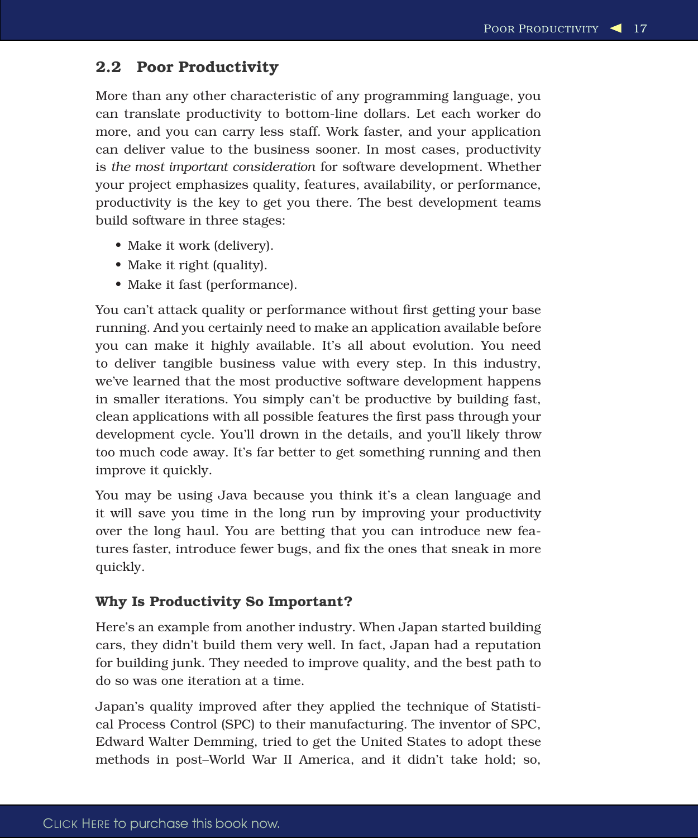### **2.2 Poor Productivity**

More than any other characteristic of any programming language, you can translate productivity to bottom-line dollars. Let each worker do more, and you can carry less staff. Work faster, and your application can deliver value to the business sooner. In most cases, productivity is *the most important consideration* for software development. Whether your project emphasizes quality, features, availability, or performance, productivity is the key to get you there. The best development teams build software in three stages:

- Make it work (delivery).
- Make it right (quality).
- Make it fast (performance).

You can't attack quality or performance without first getting your base running. And you certainly need to make an application available before you can make it highly available. It's all about evolution. You need to deliver tangible business value with every step. In this industry, we've learned that the most productive software development happens in smaller iterations. You simply can't be productive by building fast, clean applications with all possible features the first pass through your development cycle. You'll drown in the details, and you'll likely throw too much code away. It's far better to get something running and then improve it quickly.

You may be using Java because you think it's a clean language and it will save you time in the long run by improving your productivity over the long haul. You are betting that you can introduce new features faster, introduce fewer bugs, and fix the ones that sneak in more quickly.

### **Why Is Productivity So Important?**

Here's an example from another industry. When Japan started building cars, they didn't build them very well. In fact, Japan had a reputation for building junk. They needed to improve quality, and the best path to do so was one iteration at a time.

Japan's quality improved after they applied the technique of Statistical Process Control (SPC) to their manufacturing. The inventor of SPC, Edward Walter Demming, tried to get the United States to adopt these methods in post–World War II America, and it didn't take hold; so,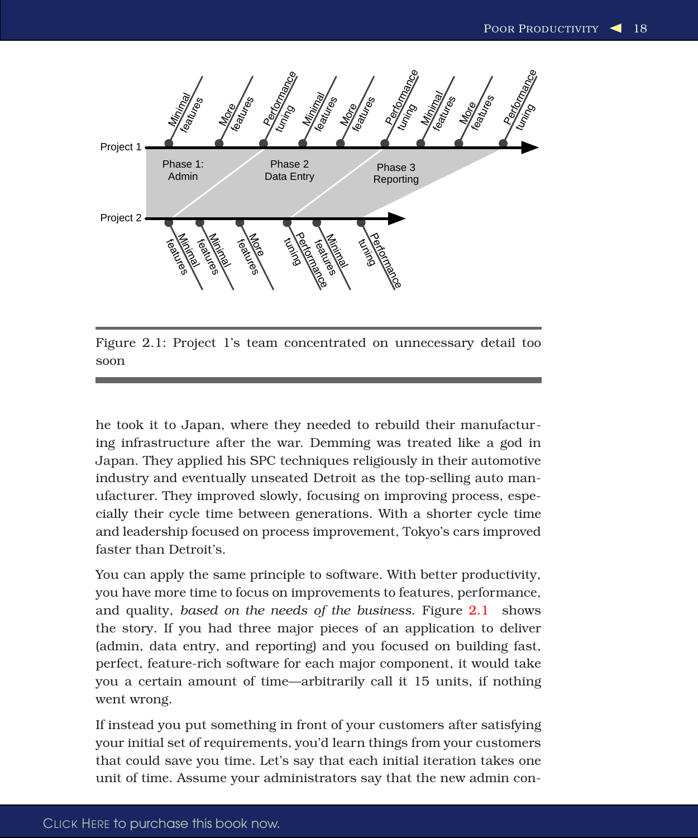

Figure 2.1: Project 1's team concentrated on unnecessary detail too soon

<span id="page-5-0"></span>he took it to Japan, where they needed to rebuild their manufacturing infrastructure after the war. Demming was treated like a god in Japan. They applied his SPC techniques religiously in their automotive industry and eventually unseated Detroit as the top-selling auto manufacturer. They improved slowly, focusing on improving process, especially their cycle time between generations. With a shorter cycle time and leadership focused on process improvement, Tokyo's cars improved faster than Detroit's.

You can apply the same principle to software. With better productivity, you have more time to focus on improvements to features, performance, and quality, *based on the needs of the business*. Figure [2.1](#page-5-0) shows the story. If you had three major pieces of an application to deliver (admin, data entry, and reporting) and you focused on building fast, perfect, feature-rich software for each major component, it would take you a certain amount of time—arbitrarily call it 15 units, if nothing went wrong.

If instead you put something in front of your customers after satisfying your initial set of requirements, you'd learn things from your customers that could save you time. Let's say that each initial iteration takes one unit of time. Assume your administrators say that the new admin con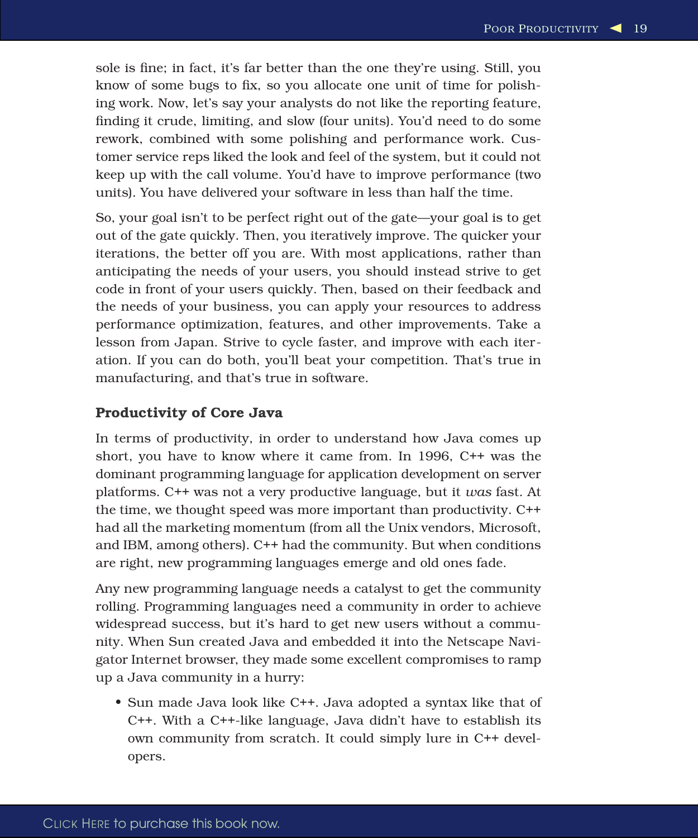sole is fine; in fact, it's far better than the one they're using. Still, you know of some bugs to fix, so you allocate one unit of time for polishing work. Now, let's say your analysts do not like the reporting feature, finding it crude, limiting, and slow (four units). You'd need to do some rework, combined with some polishing and performance work. Customer service reps liked the look and feel of the system, but it could not keep up with the call volume. You'd have to improve performance (two units). You have delivered your software in less than half the time.

So, your goal isn't to be perfect right out of the gate—your goal is to get out of the gate quickly. Then, you iteratively improve. The quicker your iterations, the better off you are. With most applications, rather than anticipating the needs of your users, you should instead strive to get code in front of your users quickly. Then, based on their feedback and the needs of your business, you can apply your resources to address performance optimization, features, and other improvements. Take a lesson from Japan. Strive to cycle faster, and improve with each iteration. If you can do both, you'll beat your competition. That's true in manufacturing, and that's true in software.

### **Productivity of Core Java**

In terms of productivity, in order to understand how Java comes up short, you have to know where it came from. In 1996, C++ was the dominant programming language for application development on server platforms. C++ was not a very productive language, but it *was* fast. At the time, we thought speed was more important than productivity. C++ had all the marketing momentum (from all the Unix vendors, Microsoft, and IBM, among others). C++ had the community. But when conditions are right, new programming languages emerge and old ones fade.

Any new programming language needs a catalyst to get the community rolling. Programming languages need a community in order to achieve widespread success, but it's hard to get new users without a community. When Sun created Java and embedded it into the Netscape Navigator Internet browser, they made some excellent compromises to ramp up a Java community in a hurry:

• Sun made Java look like C++. Java adopted a syntax like that of C++. With a C++-like language, Java didn't have to establish its own community from scratch. It could simply lure in C++ developers.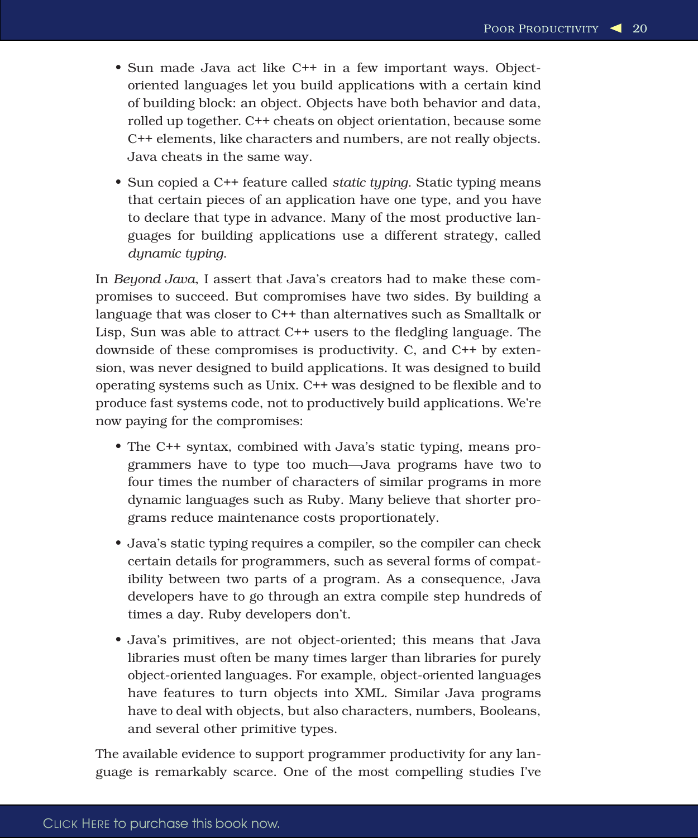- Sun made Java act like C++ in a few important ways. Objectoriented languages let you build applications with a certain kind of building block: an object. Objects have both behavior and data, rolled up together. C++ cheats on object orientation, because some C++ elements, like characters and numbers, are not really objects. Java cheats in the same way.
- Sun copied a C++ feature called *static typing*. Static typing means that certain pieces of an application have one type, and you have to declare that type in advance. Many of the most productive languages for building applications use a different strategy, called *dynamic typing*.

In *Beyond Java*, I assert that Java's creators had to make these compromises to succeed. But compromises have two sides. By building a language that was closer to C++ than alternatives such as Smalltalk or Lisp, Sun was able to attract C++ users to the fledgling language. The downside of these compromises is productivity. C, and C++ by extension, was never designed to build applications. It was designed to build operating systems such as Unix. C++ was designed to be flexible and to produce fast systems code, not to productively build applications. We're now paying for the compromises:

- The C++ syntax, combined with Java's static typing, means programmers have to type too much—Java programs have two to four times the number of characters of similar programs in more dynamic languages such as Ruby. Many believe that shorter programs reduce maintenance costs proportionately.
- Java's static typing requires a compiler, so the compiler can check certain details for programmers, such as several forms of compatibility between two parts of a program. As a consequence, Java developers have to go through an extra compile step hundreds of times a day. Ruby developers don't.
- Java's primitives, are not object-oriented; this means that Java libraries must often be many times larger than libraries for purely object-oriented languages. For example, object-oriented languages have features to turn objects into XML. Similar Java programs have to deal with objects, but also characters, numbers, Booleans, and several other primitive types.

The available evidence to support programmer productivity for any language is remarkably scarce. One of the most compelling studies I've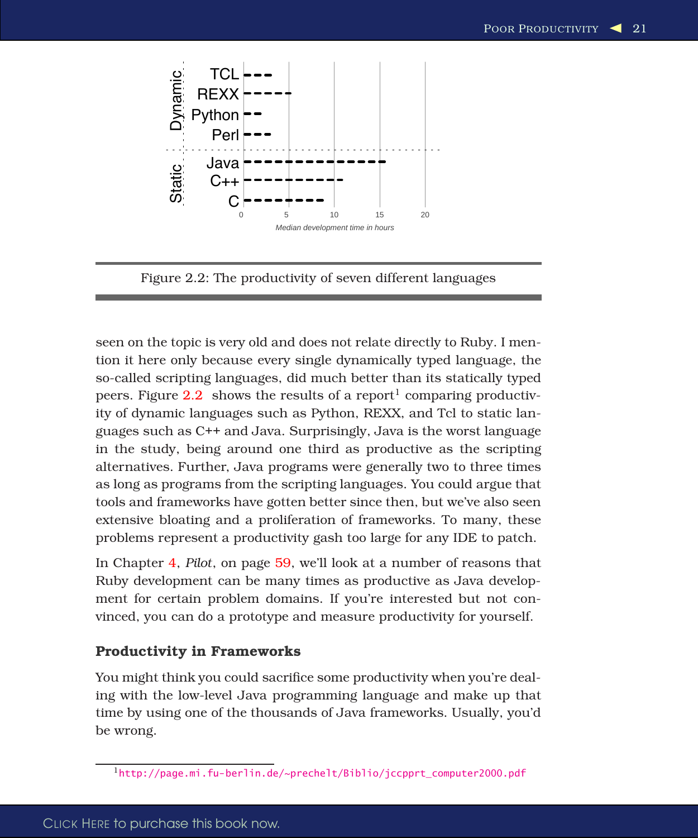

<span id="page-8-0"></span>

seen on the topic is very old and does not relate directly to Ruby. I mention it here only because every single dynamically typed language, the so-called scripting languages, did much better than its statically typed peers. Figure  $2.2$  shows the results of a report<sup>1</sup> comparing productivity of dynamic languages such as Python, REXX, and Tcl to static languages such as C++ and Java. Surprisingly, Java is the worst language in the study, being around one third as productive as the scripting alternatives. Further, Java programs were generally two to three times as long as programs from the scripting languages. You could argue that tools and frameworks have gotten better since then, but we've also seen extensive bloating and a proliferation of frameworks. To many, these problems represent a productivity gash too large for any IDE to patch.

In Chapter [4,](#page--1-0) *Pilot*, on page [59,](#page--1-0) we'll look at a number of reasons that Ruby development can be many times as productive as Java development for certain problem domains. If you're interested but not convinced, you can do a prototype and measure productivity for yourself.

### **Productivity in Frameworks**

You might think you could sacrifice some productivity when you're dealing with the low-level Java programming language and make up that time by using one of the thousands of Java frameworks. Usually, you'd be wrong.

<sup>1</sup>[http://page.mi.fu-berlin.de/~prechelt/Biblio/jccpprt\\_computer2000.pdf](http://page.mi.fu-berlin.de/~prechelt/Biblio/jccpprt_computer2000.pdf)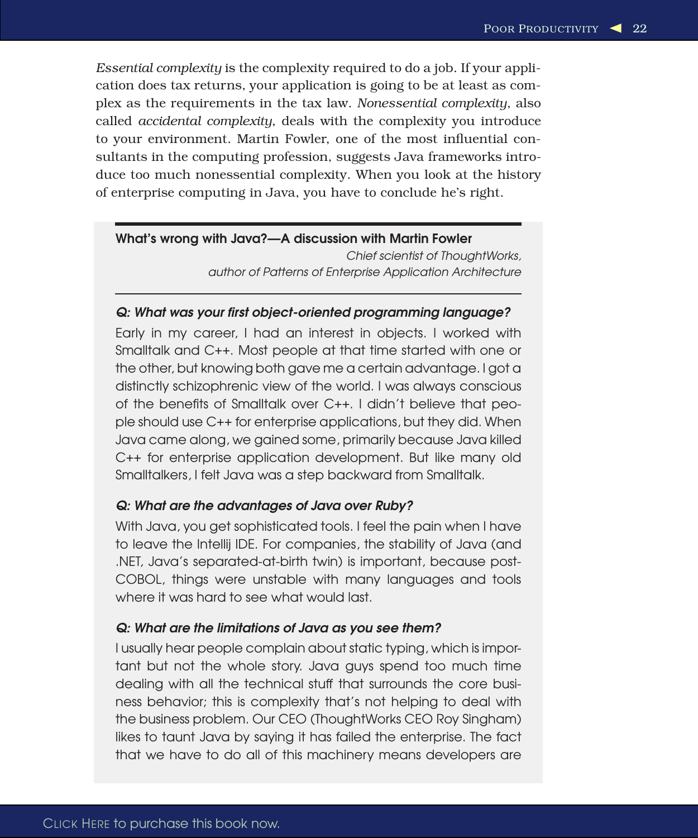*Essential complexity* is the complexity required to do a job. If your application does tax returns, your application is going to be at least as complex as the requirements in the tax law. *Nonessential complexity*, also called *accidental complexity*, deals with the complexity you introduce to your environment. Martin Fowler, one of the most influential consultants in the computing profession, suggests Java frameworks introduce too much nonessential complexity. When you look at the history of enterprise computing in Java, you have to conclude he's right.

### What's wrong with Java?—A discussion with Martin Fowler *Chief scientist of ThoughtWorks, author of Patterns of Enterprise Application Architecture*

### *Q: What was your first object-oriented programming language?*

Early in my career, I had an interest in objects. I worked with Smalltalk and C++. Most people at that time started with one or the other, but knowing both gave me a certain advantage. I got a distinctly schizophrenic view of the world. I was always conscious of the benefits of Smalltalk over C++. I didn't believe that people should use C++ for enterprise applications, but they did. When Java came along, we gained some, primarily because Java killed C++ for enterprise application development. But like many old Smalltalkers, I felt Java was a step backward from Smalltalk.

### *Q: What are the advantages of Java over Ruby?*

With Java, you get sophisticated tools. I feel the pain when I have to leave the Intellij IDE. For companies, the stability of Java (and .NET, Java's separated-at-birth twin) is important, because post-COBOL, things were unstable with many languages and tools where it was hard to see what would last.

#### *Q: What are the limitations of Java as you see them?*

I usually hear people complain about static typing, which is important but not the whole story. Java guys spend too much time dealing with all the technical stuff that surrounds the core business behavior; this is complexity that's not helping to deal with the business problem. Our CEO (ThoughtWorks CEO Roy Singham) likes to taunt Java by saying it has failed the enterprise. The fact that we have to do all of this machinery means developers are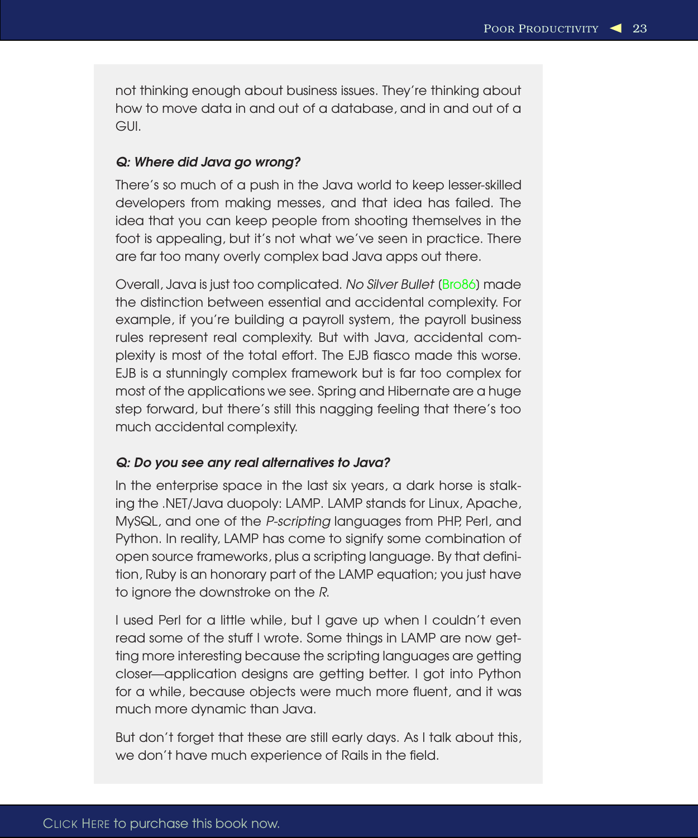not thinking enough about business issues. They're thinking about how to move data in and out of a database, and in and out of a GUI.

### *Q: Where did Java go wrong?*

There's so much of a push in the Java world to keep lesser-skilled developers from making messes, and that idea has failed. The idea that you can keep people from shooting themselves in the foot is appealing, but it's not what we've seen in practice. There are far too many overly complex bad Java apps out there.

Overall, Java is just too complicated. *No Silver Bullet* [\[Bro86\]](#page--1-1) made the distinction between essential and accidental complexity. For example, if you're building a payroll system, the payroll business rules represent real complexity. But with Java, accidental complexity is most of the total effort. The EJB fiasco made this worse. EJB is a stunningly complex framework but is far too complex for most of the applications we see. Spring and Hibernate are a huge step forward, but there's still this nagging feeling that there's too much accidental complexity.

#### *Q: Do you see any real alternatives to Java?*

In the enterprise space in the last six years, a dark horse is stalking the .NET/Java duopoly: LAMP. LAMP stands for Linux, Apache, MySQL, and one of the *P-scripting* languages from PHP, Perl, and Python. In reality, LAMP has come to signify some combination of open source frameworks, plus a scripting language. By that definition, Ruby is an honorary part of the LAMP equation; you just have to ignore the downstroke on the *R*.

I used Perl for a little while, but I gave up when I couldn't even read some of the stuff I wrote. Some things in LAMP are now getting more interesting because the scripting languages are getting closer—application designs are getting better. I got into Python for a while, because objects were much more fluent, and it was much more dynamic than Java.

But don't forget that these are still early days. As I talk about this, we don't have much experience of Rails in the field.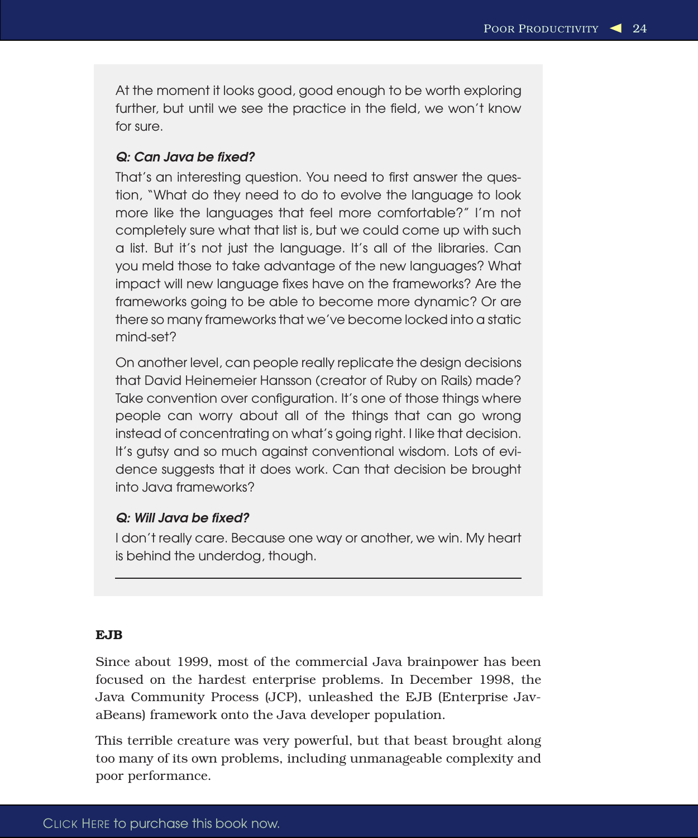At the moment it looks good, good enough to be worth exploring further, but until we see the practice in the field, we won't know for sure.

### *Q: Can Java be fixed?*

That's an interesting question. You need to first answer the question, "What do they need to do to evolve the language to look more like the languages that feel more comfortable?" I'm not completely sure what that list is, but we could come up with such a list. But it's not just the language. It's all of the libraries. Can you meld those to take advantage of the new languages? What impact will new language fixes have on the frameworks? Are the frameworks going to be able to become more dynamic? Or are there so many frameworks that we've become locked into a static mind-set?

On another level, can people really replicate the design decisions that David Heinemeier Hansson (creator of Ruby on Rails) made? Take convention over configuration. It's one of those things where people can worry about all of the things that can go wrong instead of concentrating on what's going right. I like that decision. It's gutsy and so much against conventional wisdom. Lots of evidence suggests that it does work. Can that decision be brought into Java frameworks?

### *Q: Will Java be fixed?*

I don't really care. Because one way or another, we win. My heart is behind the underdog, though.

### **EJB**

Since about 1999, most of the commercial Java brainpower has been focused on the hardest enterprise problems. In December 1998, the Java Community Process (JCP), unleashed the EJB (Enterprise JavaBeans) framework onto the Java developer population.

This terrible creature was very powerful, but that beast brought along too many of its own problems, including unmanageable complexity and poor performance.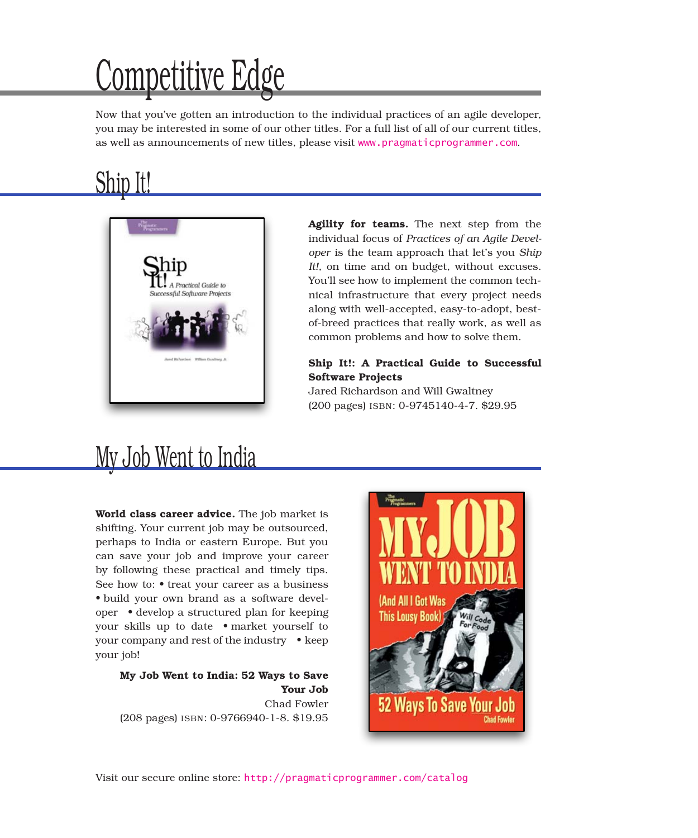## Competitive Edge

Now that you've gotten an introduction to the individual practices of an agile developer, you may be interested in some of our other titles. For a full list of all of our current titles, as well as announcements of new titles, please visit <www.pragmaticprogrammer.com>.

### Ship It!



**Agility for teams.** The next step from the individual focus of *Practices of an Agile Developer* is the team approach that let's you *Ship It!*, on time and on budget, without excuses. You'll see how to implement the common technical infrastructure that every project needs along with well-accepted, easy-to-adopt, bestof-breed practices that really work, as well as common problems and how to solve them.

### **Ship It!: A Practical Guide to Successful Software Projects**

Jared Richardson and Will Gwaltney (200 pages) ISBN: 0-9745140-4-7. \$29.95

### My Job Went to India

**World class career advice.** The job market is shifting. Your current job may be outsourced, perhaps to India or eastern Europe. But you can save your job and improve your career by following these practical and timely tips. See how to:  $\bullet$  treat your career as a business • build your own brand as a software developer • develop a structured plan for keeping your skills up to date • market yourself to your company and rest of the industry • keep your job!

#### **My Job Went to India: 52 Ways to Save Your Job** Chad Fowler (208 pages) ISBN: 0-9766940-1-8. \$19.95



Visit our secure online store: <http://pragmaticprogrammer.com/catalog>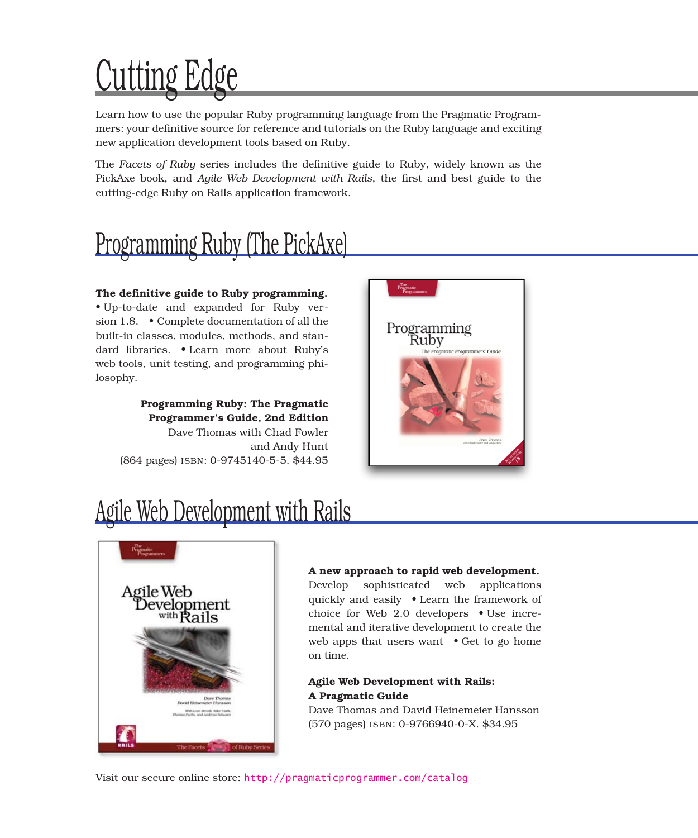# Cutting Edge

Learn how to use the popular Ruby programming language from the Pragmatic Programmers: your definitive source for reference and tutorials on the Ruby language and exciting new application development tools based on Ruby.

The *Facets of Ruby* series includes the definitive guide to Ruby, widely known as the PickAxe book, and *Agile Web Development with Rails*, the first and best guide to the cutting-edge Ruby on Rails application framework.

### Programming Ruby (The PickAxe)

### **The definitive guide to Ruby programming.**

• Up-to-date and expanded for Ruby version 1.8. • Complete documentation of all the built-in classes, modules, methods, and standard libraries. • Learn more about Ruby's web tools, unit testing, and programming philosophy.

> **Programming Ruby: The Pragmatic Programmer's Guide, 2nd Edition** Dave Thomas with Chad Fowler and Andy Hunt (864 pages) ISBN: 0-9745140-5-5. \$44.95



### Agile Web Development with Rails



#### **A new approach to rapid web development.**

Develop sophisticated web applications quickly and easily • Learn the framework of choice for Web 2.0 developers • Use incremental and iterative development to create the web apps that users want • Get to go home on time.

### **Agile Web Development with Rails: A Pragmatic Guide**

Dave Thomas and David Heinemeier Hansson (570 pages) ISBN: 0-9766940-0-X. \$34.95

Visit our secure online store: <http://pragmaticprogrammer.com/catalog>